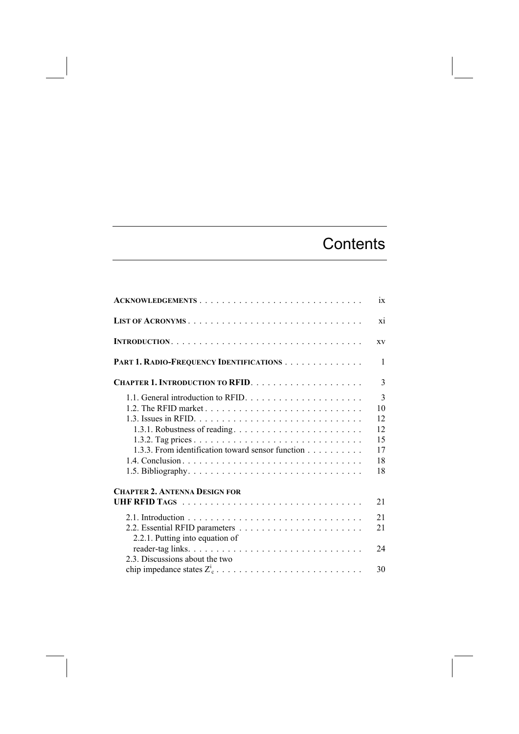## **Contents**

| ACKNOWLEDGEMENTS                                                                                                        | ix                                          |
|-------------------------------------------------------------------------------------------------------------------------|---------------------------------------------|
|                                                                                                                         | X1                                          |
|                                                                                                                         | <b>XV</b>                                   |
| PART 1. RADIO-FREQUENCY IDENTIFICATIONS                                                                                 | 1                                           |
|                                                                                                                         | $\mathcal{E}$                               |
| 1.1. General introduction to RFID.<br>1.3.1. Robustness of reading<br>1.3.3. From identification toward sensor function | 3<br>10<br>12<br>12<br>15<br>17<br>18<br>18 |
| <b>CHAPTER 2. ANTENNA DESIGN FOR</b>                                                                                    | 21                                          |
| 2.2.1. Putting into equation of                                                                                         | 21<br>21                                    |
| 2.3. Discussions about the two                                                                                          | 24<br>30                                    |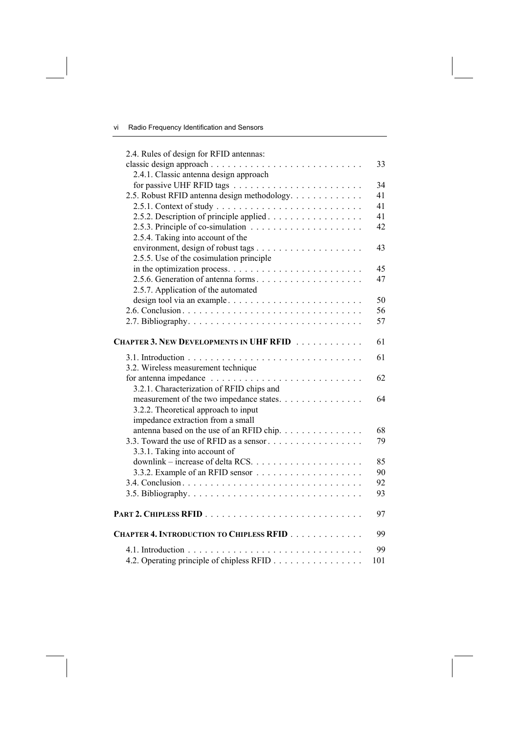| 2.4. Rules of design for RFID antennas:                                              |     |
|--------------------------------------------------------------------------------------|-----|
|                                                                                      | 33  |
| 2.4.1. Classic antenna design approach                                               |     |
|                                                                                      | 34  |
| 2.5. Robust RFID antenna design methodology.                                         | 41  |
|                                                                                      | 41  |
| 2.5.2. Description of principle applied                                              | 41  |
| 2.5.3. Principle of co-simulation $\ldots \ldots \ldots \ldots \ldots \ldots$        | 42  |
| 2.5.4. Taking into account of the                                                    |     |
|                                                                                      | 43  |
| 2.5.5. Use of the cosimulation principle                                             |     |
| in the optimization process. $\dots \dots \dots \dots \dots \dots \dots \dots \dots$ | 45  |
| 2.5.6. Generation of antenna forms                                                   | 47  |
| 2.5.7. Application of the automated                                                  |     |
| design tool via an example                                                           | 50  |
|                                                                                      | 56  |
|                                                                                      | 57  |
|                                                                                      |     |
| CHAPTER 3. NEW DEVELOPMENTS IN UHF RFID                                              | 61  |
|                                                                                      | 61  |
| 3.2. Wireless measurement technique                                                  |     |
|                                                                                      | 62  |
| 3.2.1. Characterization of RFID chips and                                            |     |
| measurement of the two impedance states.                                             | 64  |
| 3.2.2. Theoretical approach to input                                                 |     |
| impedance extraction from a small                                                    |     |
| antenna based on the use of an RFID chip.                                            | 68  |
|                                                                                      | 79  |
| 3.3.1. Taking into account of                                                        |     |
|                                                                                      | 85  |
|                                                                                      | 90  |
|                                                                                      | 92  |
|                                                                                      | 93  |
|                                                                                      | 97  |
| CHAPTER 4. INTRODUCTION TO CHIPLESS RFID                                             | 99  |
|                                                                                      | 99  |
| 4.2. Operating principle of chipless RFID                                            | 101 |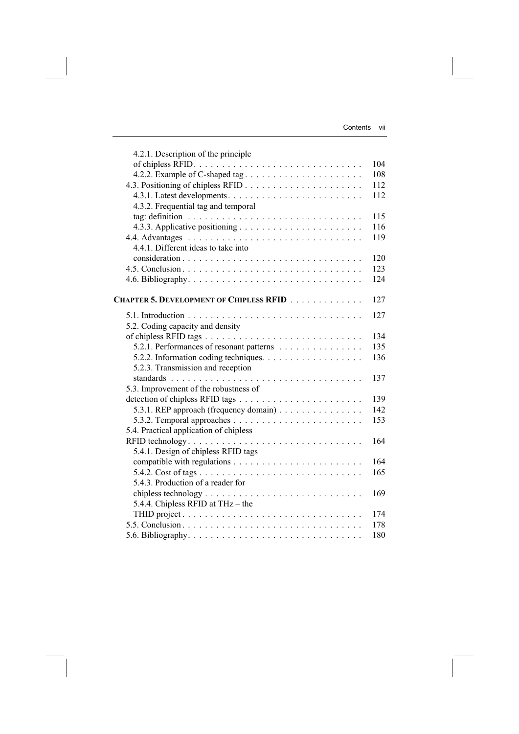| 4.2.1. Description of the principle      |     |
|------------------------------------------|-----|
|                                          | 104 |
|                                          | 108 |
|                                          | 112 |
|                                          | 112 |
| 4.3.2. Frequential tag and temporal      |     |
|                                          | 115 |
|                                          | 116 |
|                                          | 119 |
| 4.4.1. Different ideas to take into      |     |
|                                          | 120 |
|                                          | 123 |
|                                          | 124 |
| CHAPTER 5. DEVELOPMENT OF CHIPLESS RFID  | 127 |
|                                          |     |
|                                          | 127 |
| 5.2. Coding capacity and density         |     |
|                                          | 134 |
| 5.2.1. Performances of resonant patterns | 135 |
|                                          | 136 |
| 5.2.3. Transmission and reception        |     |
|                                          | 137 |
| 5.3. Improvement of the robustness of    |     |
|                                          | 139 |
| 5.3.1. REP approach (frequency domain)   | 142 |
|                                          | 153 |
| 5.4. Practical application of chipless   |     |
| RFID technology                          | 164 |
| 5.4.1. Design of chipless RFID tags      |     |
|                                          | 164 |
|                                          | 165 |
| 5.4.3. Production of a reader for        |     |
|                                          | 169 |
| 5.4.4. Chipless RFID at THz - the        |     |
|                                          | 174 |
|                                          | 178 |
|                                          | 180 |